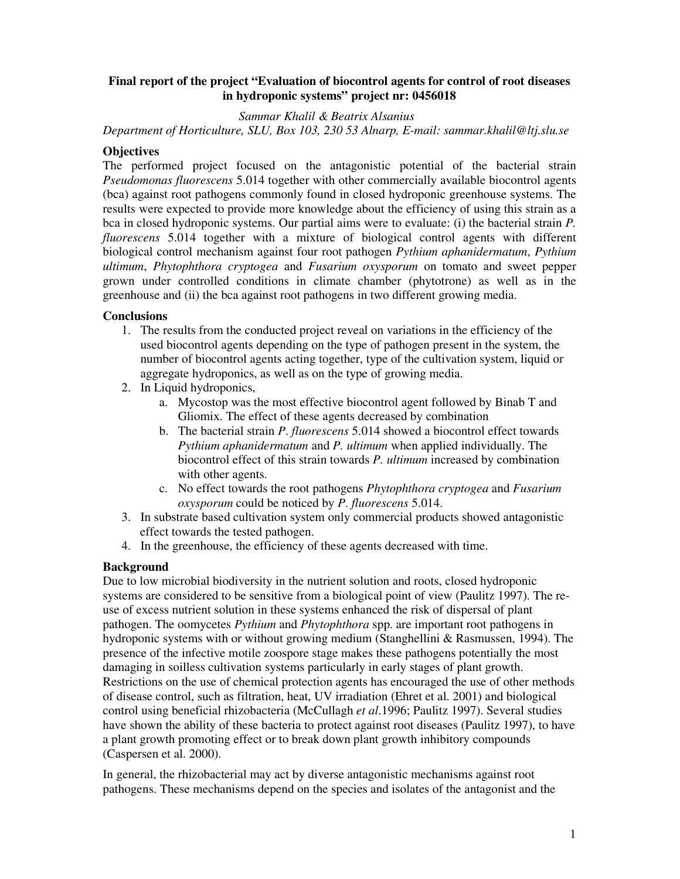### **Final report of the project "Evaluation of biocontrol agents for control of root diseases in hydroponic systems" project nr: 0456018**

## *Sammar Khalil & Beatrix Alsanius*

*Department of Horticulture, SLU, Box 103, 230 53 Alnarp, E-mail: sammar.khalil@ltj.slu.se* 

## **Objectives**

The performed project focused on the antagonistic potential of the bacterial strain *Pseudomonas fluorescens* 5.014 together with other commercially available biocontrol agents (bca) against root pathogens commonly found in closed hydroponic greenhouse systems. The results were expected to provide more knowledge about the efficiency of using this strain as a bca in closed hydroponic systems. Our partial aims were to evaluate: (i) the bacterial strain *P. fluorescens* 5.014 together with a mixture of biological control agents with different biological control mechanism against four root pathogen *Pythium aphanidermatum*, *Pythium ultimum*, *Phytophthora cryptogea* and *Fusarium oxysporum* on tomato and sweet pepper grown under controlled conditions in climate chamber (phytotrone) as well as in the greenhouse and (ii) the bca against root pathogens in two different growing media.

#### **Conclusions**

- 1. The results from the conducted project reveal on variations in the efficiency of the used biocontrol agents depending on the type of pathogen present in the system, the number of biocontrol agents acting together, type of the cultivation system, liquid or aggregate hydroponics, as well as on the type of growing media.
- 2. In Liquid hydroponics,
	- a. Mycostop was the most effective biocontrol agent followed by Binab T and Gliomix. The effect of these agents decreased by combination
	- b. The bacterial strain *P*. *fluorescens* 5.014 showed a biocontrol effect towards *Pythium aphanidermatum* and *P. ultimum* when applied individually. The biocontrol effect of this strain towards *P. ultimum* increased by combination with other agents.
	- c. No effect towards the root pathogens *Phytophthora cryptogea* and *Fusarium oxysporum* could be noticed by *P*. *fluorescens* 5.014.
- 3. In substrate based cultivation system only commercial products showed antagonistic effect towards the tested pathogen.
- 4. In the greenhouse, the efficiency of these agents decreased with time.

# **Background**

Due to low microbial biodiversity in the nutrient solution and roots, closed hydroponic systems are considered to be sensitive from a biological point of view (Paulitz 1997). The reuse of excess nutrient solution in these systems enhanced the risk of dispersal of plant pathogen. The oomycetes *Pythium* and *Phytophthora* spp. are important root pathogens in hydroponic systems with or without growing medium (Stanghellini & Rasmussen, 1994). The presence of the infective motile zoospore stage makes these pathogens potentially the most damaging in soilless cultivation systems particularly in early stages of plant growth. Restrictions on the use of chemical protection agents has encouraged the use of other methods of disease control, such as filtration, heat, UV irradiation (Ehret et al. 2001) and biological control using beneficial rhizobacteria (McCullagh *et al*.1996; Paulitz 1997). Several studies have shown the ability of these bacteria to protect against root diseases (Paulitz 1997), to have a plant growth promoting effect or to break down plant growth inhibitory compounds (Caspersen et al. 2000).

In general, the rhizobacterial may act by diverse antagonistic mechanisms against root pathogens. These mechanisms depend on the species and isolates of the antagonist and the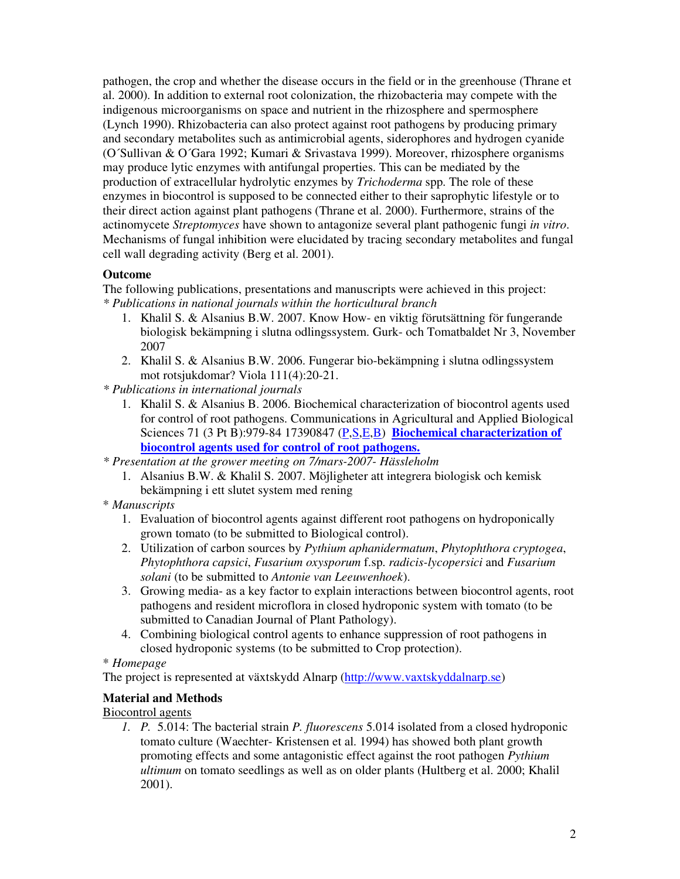pathogen, the crop and whether the disease occurs in the field or in the greenhouse (Thrane et al. 2000). In addition to external root colonization, the rhizobacteria may compete with the indigenous microorganisms on space and nutrient in the rhizosphere and spermosphere (Lynch 1990). Rhizobacteria can also protect against root pathogens by producing primary and secondary metabolites such as antimicrobial agents, siderophores and hydrogen cyanide (O´Sullivan & O´Gara 1992; Kumari & Srivastava 1999). Moreover, rhizosphere organisms may produce lytic enzymes with antifungal properties. This can be mediated by the production of extracellular hydrolytic enzymes by *Trichoderma* spp. The role of these enzymes in biocontrol is supposed to be connected either to their saprophytic lifestyle or to their direct action against plant pathogens (Thrane et al. 2000). Furthermore, strains of the actinomycete *Streptomyces* have shown to antagonize several plant pathogenic fungi *in vitro*. Mechanisms of fungal inhibition were elucidated by tracing secondary metabolites and fungal cell wall degrading activity (Berg et al. 2001).

## **Outcome**

The following publications, presentations and manuscripts were achieved in this project: *\* Publications in national journals within the horticultural branch* 

- 1. Khalil S. & Alsanius B.W. 2007. Know How- en viktig förutsättning för fungerande biologisk bekämpning i slutna odlingssystem. Gurk- och Tomatbaldet Nr 3, November 2007
- 2. Khalil S. & Alsanius B.W. 2006. Fungerar bio-bekämpning i slutna odlingssystem mot rotsjukdomar? Viola 111(4):20-21.
- *\* Publications in international journals* 
	- 1. Khalil S. & Alsanius B. 2006. Biochemical characterization of biocontrol agents used for control of root pathogens. Communications in Agricultural and Applied Biological Sciences 71 (3 Pt B):979-84 17390847 (P, S, E, B) Biochemical characterization of **biocontrol agents used for control of root pathogens.**
- *\* Presentation at the grower meeting on 7/mars-2007- Hässleholm* 
	- 1. Alsanius B.W. & Khalil S. 2007. Möjligheter att integrera biologisk och kemisk bekämpning i ett slutet system med rening
- \* *Manuscripts*
	- 1. Evaluation of biocontrol agents against different root pathogens on hydroponically grown tomato (to be submitted to Biological control).
	- 2. Utilization of carbon sources by *Pythium aphanidermatum*, *Phytophthora cryptogea*, *Phytophthora capsici*, *Fusarium oxysporum* f.sp. *radicis-lycopersici* and *Fusarium solani* (to be submitted to *Antonie van Leeuwenhoek*).
	- 3. Growing media- as a key factor to explain interactions between biocontrol agents, root pathogens and resident microflora in closed hydroponic system with tomato (to be submitted to Canadian Journal of Plant Pathology).
	- 4. Combining biological control agents to enhance suppression of root pathogens in closed hydroponic systems (to be submitted to Crop protection).
- \* *Homepage*

The project is represented at växtskydd Alnarp (http://www.vaxtskyddalnarp.se)

# **Material and Methods**

# Biocontrol agents

*1. P.* 5.014: The bacterial strain *P. fluorescens* 5.014 isolated from a closed hydroponic tomato culture (Waechter- Kristensen et al. 1994) has showed both plant growth promoting effects and some antagonistic effect against the root pathogen *Pythium ultimum* on tomato seedlings as well as on older plants (Hultberg et al. 2000; Khalil 2001).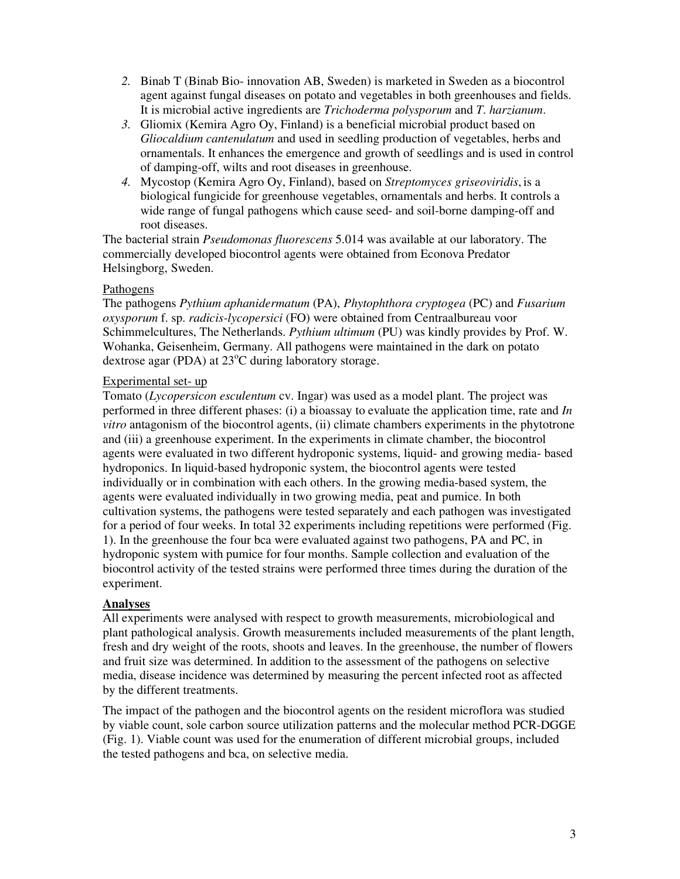- *2.* Binab T (Binab Bio- innovation AB, Sweden) is marketed in Sweden as a biocontrol agent against fungal diseases on potato and vegetables in both greenhouses and fields. It is microbial active ingredients are *Trichoderma polysporum* and *T*. *harzianum*.
- *3.* Gliomix (Kemira Agro Oy, Finland) is a beneficial microbial product based on *Gliocaldium cantenulatum* and used in seedling production of vegetables, herbs and ornamentals. It enhances the emergence and growth of seedlings and is used in control of damping-off, wilts and root diseases in greenhouse.
- *4.* Mycostop (Kemira Agro Oy, Finland), based on *Streptomyces griseoviridis*, is a biological fungicide for greenhouse vegetables, ornamentals and herbs. It controls a wide range of fungal pathogens which cause seed- and soil-borne damping-off and root diseases.

The bacterial strain *Pseudomonas fluorescens* 5.014 was available at our laboratory. The commercially developed biocontrol agents were obtained from Econova Predator Helsingborg, Sweden.

## Pathogens

The pathogens *Pythium aphanidermatum* (PA), *Phytophthora cryptogea* (PC) and *Fusarium oxysporum* f. sp. *radicis-lycopersici* (FO) were obtained from Centraalbureau voor Schimmelcultures, The Netherlands. *Pythium ultimum* (PU) was kindly provides by Prof. W. Wohanka, Geisenheim, Germany. All pathogens were maintained in the dark on potato dextrose agar (PDA) at  $23^{\circ}$ C during laboratory storage.

# Experimental set- up

Tomato (*Lycopersicon esculentum* cv. Ingar) was used as a model plant. The project was performed in three different phases: (i) a bioassay to evaluate the application time, rate and *In vitro* antagonism of the biocontrol agents, (ii) climate chambers experiments in the phytotrone and (iii) a greenhouse experiment. In the experiments in climate chamber, the biocontrol agents were evaluated in two different hydroponic systems, liquid- and growing media- based hydroponics. In liquid-based hydroponic system, the biocontrol agents were tested individually or in combination with each others. In the growing media-based system, the agents were evaluated individually in two growing media, peat and pumice. In both cultivation systems, the pathogens were tested separately and each pathogen was investigated for a period of four weeks. In total 32 experiments including repetitions were performed (Fig. 1). In the greenhouse the four bca were evaluated against two pathogens, PA and PC, in hydroponic system with pumice for four months. Sample collection and evaluation of the biocontrol activity of the tested strains were performed three times during the duration of the experiment.

# **Analyses**

All experiments were analysed with respect to growth measurements, microbiological and plant pathological analysis. Growth measurements included measurements of the plant length, fresh and dry weight of the roots, shoots and leaves. In the greenhouse, the number of flowers and fruit size was determined. In addition to the assessment of the pathogens on selective media, disease incidence was determined by measuring the percent infected root as affected by the different treatments.

The impact of the pathogen and the biocontrol agents on the resident microflora was studied by viable count, sole carbon source utilization patterns and the molecular method PCR-DGGE (Fig. 1). Viable count was used for the enumeration of different microbial groups, included the tested pathogens and bca, on selective media.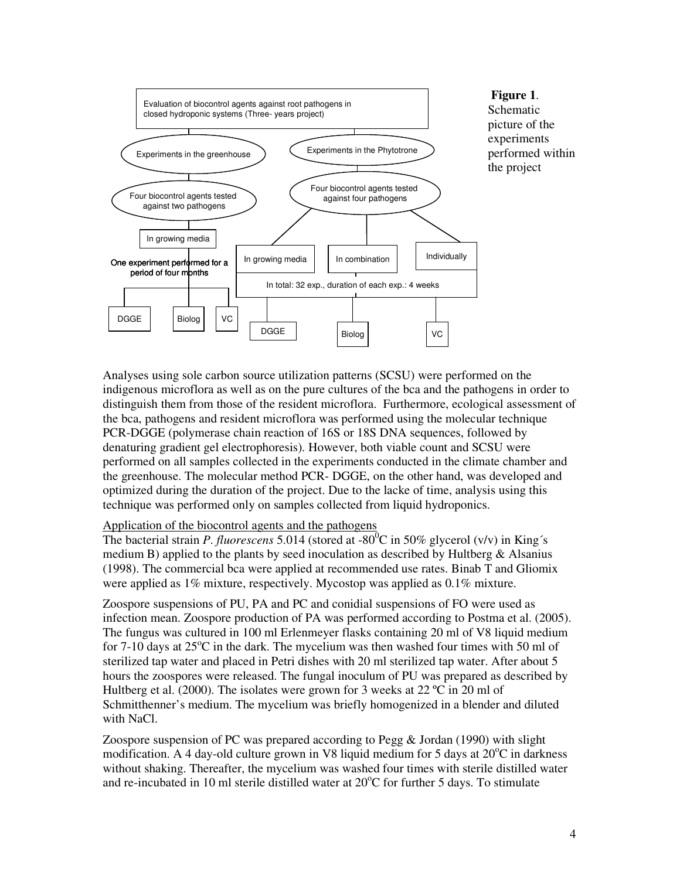

Analyses using sole carbon source utilization patterns (SCSU) were performed on the indigenous microflora as well as on the pure cultures of the bca and the pathogens in order to distinguish them from those of the resident microflora. Furthermore, ecological assessment of the bca, pathogens and resident microflora was performed using the molecular technique PCR-DGGE (polymerase chain reaction of 16S or 18S DNA sequences, followed by denaturing gradient gel electrophoresis). However, both viable count and SCSU were performed on all samples collected in the experiments conducted in the climate chamber and the greenhouse. The molecular method PCR- DGGE, on the other hand, was developed and optimized during the duration of the project. Due to the lacke of time, analysis using this technique was performed only on samples collected from liquid hydroponics.

#### Application of the biocontrol agents and the pathogens

The bacterial strain *P. fluorescens* 5.014 (stored at -80<sup>0</sup>C in 50% glycerol (v/v) in King's medium B) applied to the plants by seed inoculation as described by Hultberg  $\&$  Alsanius (1998). The commercial bca were applied at recommended use rates. Binab T and Gliomix were applied as 1% mixture, respectively. Mycostop was applied as 0.1% mixture.

Zoospore suspensions of PU, PA and PC and conidial suspensions of FO were used as infection mean. Zoospore production of PA was performed according to Postma et al. (2005). The fungus was cultured in 100 ml Erlenmeyer flasks containing 20 ml of V8 liquid medium for 7-10 days at  $25^{\circ}$ C in the dark. The mycelium was then washed four times with 50 ml of sterilized tap water and placed in Petri dishes with 20 ml sterilized tap water. After about 5 hours the zoospores were released. The fungal inoculum of PU was prepared as described by Hultberg et al. (2000). The isolates were grown for 3 weeks at 22  $^{\circ}$ C in 20 ml of Schmitthenner's medium. The mycelium was briefly homogenized in a blender and diluted with NaCl.

Zoospore suspension of PC was prepared according to Pegg & Jordan (1990) with slight modification. A 4 day-old culture grown in V8 liquid medium for 5 days at  $20^{\circ}$ C in darkness without shaking. Thereafter, the mycelium was washed four times with sterile distilled water and re-incubated in 10 ml sterile distilled water at  $20^{\circ}$ C for further 5 days. To stimulate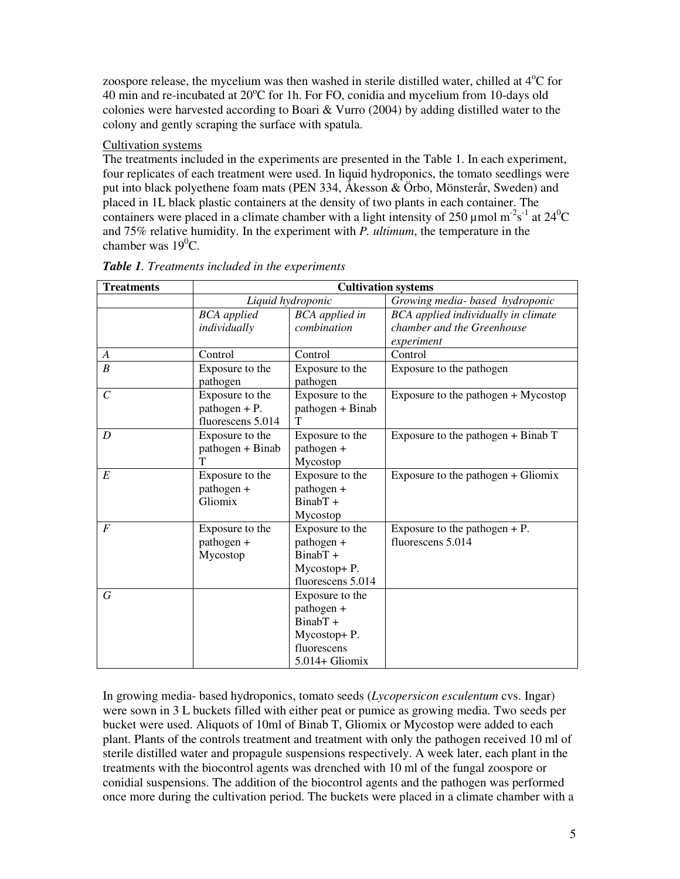zoospore release, the mycelium was then washed in sterile distilled water, chilled at  $4^{\circ}$ C for 40 min and re-incubated at  $20^{\circ}$ C for 1h. For FO, conidia and mycelium from 10-days old colonies were harvested according to Boari & Vurro (2004) by adding distilled water to the colony and gently scraping the surface with spatula.

## Cultivation systems

The treatments included in the experiments are presented in the Table 1. In each experiment, four replicates of each treatment were used. In liquid hydroponics, the tomato seedlings were put into black polyethene foam mats (PEN 334, Åkesson & Örbo, Mönsterår, Sweden) and placed in 1L black plastic containers at the density of two plants in each container. The containers were placed in a climate chamber with a light intensity of 250 µmol m<sup>-2</sup>s<sup>-1</sup> at 24<sup>0</sup>C and 75% relative humidity. In the experiment with *P. ultimum*, the temperature in the chamber was  $19^0C$ .

| <b>Treatments</b> | <b>Cultivation systems</b>                              |                                                                                           |                                                      |
|-------------------|---------------------------------------------------------|-------------------------------------------------------------------------------------------|------------------------------------------------------|
|                   | Liquid hydroponic                                       |                                                                                           | Growing media- based hydroponic                      |
|                   | <b>BCA</b> applied                                      | <b>BCA</b> applied in                                                                     | BCA applied individually in climate                  |
|                   | individually                                            | combination                                                                               | chamber and the Greenhouse                           |
|                   |                                                         |                                                                                           | experiment                                           |
| A                 | Control                                                 | Control                                                                                   | Control                                              |
| B                 | Exposure to the<br>pathogen                             | Exposure to the<br>pathogen                                                               | Exposure to the pathogen                             |
| $\mathcal{C}$     | Exposure to the<br>$pathogen + P.$<br>fluorescens 5.014 | Exposure to the<br>pathogen + Binab<br>Т                                                  | Exposure to the pathogen + Mycostop                  |
| D                 | Exposure to the<br>pathogen + Binab<br>T                | Exposure to the<br>pathogen +<br>Mycostop                                                 | Exposure to the pathogen $+$ Binab T                 |
| E                 | Exposure to the<br>pathogen +<br>Gliomix                | Exposure to the<br>pathogen +<br>$BinabT +$<br>Mycostop                                   | Exposure to the pathogen $+$ Gliomix                 |
| $\boldsymbol{F}$  | Exposure to the<br>pathogen +<br>Mycostop               | Exposure to the<br>pathogen +<br>$BinabT +$<br>Mycostop+P.<br>fluorescens 5.014           | Exposure to the pathogen $+$ P.<br>fluorescens 5.014 |
| G                 |                                                         | Exposure to the<br>pathogen +<br>BinabT +<br>Mycostop+P.<br>fluorescens<br>5.014+ Gliomix |                                                      |

*Table 1. Treatments included in the experiments* 

In growing media- based hydroponics, tomato seeds (*Lycopersicon esculentum* cvs. Ingar) were sown in 3 L buckets filled with either peat or pumice as growing media. Two seeds per bucket were used. Aliquots of 10ml of Binab T, Gliomix or Mycostop were added to each plant. Plants of the controls treatment and treatment with only the pathogen received 10 ml of sterile distilled water and propagule suspensions respectively. A week later, each plant in the treatments with the biocontrol agents was drenched with 10 ml of the fungal zoospore or conidial suspensions. The addition of the biocontrol agents and the pathogen was performed once more during the cultivation period. The buckets were placed in a climate chamber with a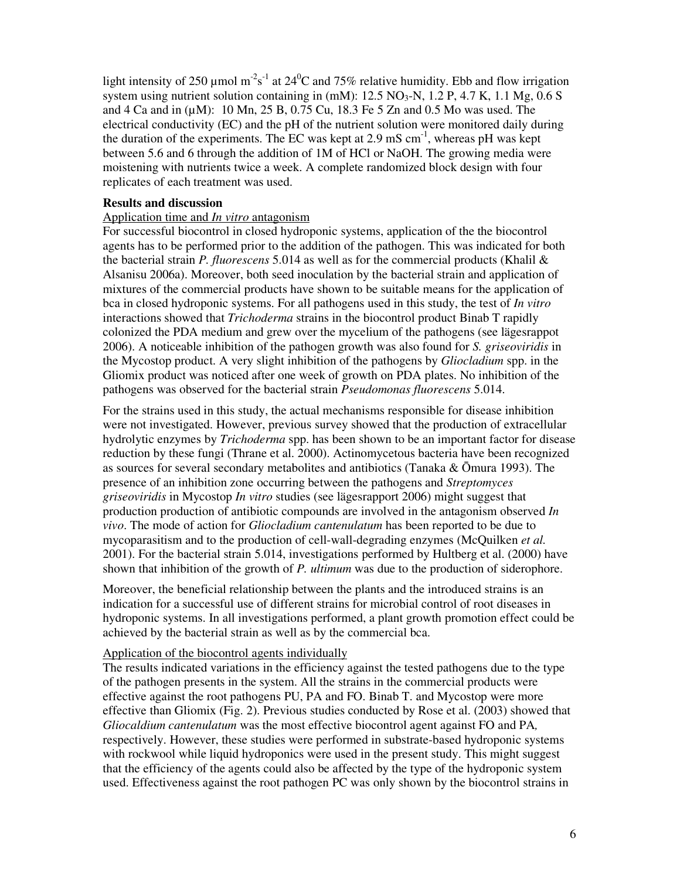light intensity of 250 µmol m<sup>-2</sup>s<sup>-1</sup> at 24<sup>0</sup>C and 75% relative humidity. Ebb and flow irrigation system using nutrient solution containing in  $(mM)$ : 12.5 NO<sub>3</sub>-N, 1.2 P, 4.7 K, 1.1 Mg, 0.6 S and 4 Ca and in (µM): 10 Mn, 25 B, 0.75 Cu, 18.3 Fe 5 Zn and 0.5 Mo was used. The electrical conductivity (EC) and the pH of the nutrient solution were monitored daily during the duration of the experiments. The EC was kept at 2.9 mS  $cm^{-1}$ , whereas pH was kept between 5.6 and 6 through the addition of 1M of HCl or NaOH. The growing media were moistening with nutrients twice a week. A complete randomized block design with four replicates of each treatment was used.

#### **Results and discussion**

#### Application time and *In vitro* antagonism

For successful biocontrol in closed hydroponic systems, application of the the biocontrol agents has to be performed prior to the addition of the pathogen. This was indicated for both the bacterial strain *P. fluorescens* 5.014 as well as for the commercial products (Khalil & Alsanisu 2006a). Moreover, both seed inoculation by the bacterial strain and application of mixtures of the commercial products have shown to be suitable means for the application of bca in closed hydroponic systems. For all pathogens used in this study, the test of *In vitro* interactions showed that *Trichoderma* strains in the biocontrol product Binab T rapidly colonized the PDA medium and grew over the mycelium of the pathogens (see lägesrappot 2006). A noticeable inhibition of the pathogen growth was also found for *S. griseoviridis* in the Mycostop product. A very slight inhibition of the pathogens by *Gliocladium* spp. in the Gliomix product was noticed after one week of growth on PDA plates. No inhibition of the pathogens was observed for the bacterial strain *Pseudomonas fluorescens* 5.014.

For the strains used in this study, the actual mechanisms responsible for disease inhibition were not investigated. However, previous survey showed that the production of extracellular hydrolytic enzymes by *Trichoderma* spp. has been shown to be an important factor for disease reduction by these fungi (Thrane et al. 2000). Actinomycetous bacteria have been recognized as sources for several secondary metabolites and antibiotics (Tanaka & Ōmura 1993). The presence of an inhibition zone occurring between the pathogens and *Streptomyces griseoviridis* in Mycostop *In vitro* studies (see lägesrapport 2006) might suggest that production production of antibiotic compounds are involved in the antagonism observed *In vivo*. The mode of action for *Gliocladium cantenulatum* has been reported to be due to mycoparasitism and to the production of cell-wall-degrading enzymes (McQuilken *et al.* 2001). For the bacterial strain 5.014, investigations performed by Hultberg et al. (2000) have shown that inhibition of the growth of *P. ultimum* was due to the production of siderophore.

Moreover, the beneficial relationship between the plants and the introduced strains is an indication for a successful use of different strains for microbial control of root diseases in hydroponic systems. In all investigations performed, a plant growth promotion effect could be achieved by the bacterial strain as well as by the commercial bca.

#### Application of the biocontrol agents individually

The results indicated variations in the efficiency against the tested pathogens due to the type of the pathogen presents in the system. All the strains in the commercial products were effective against the root pathogens PU, PA and FO. Binab T. and Mycostop were more effective than Gliomix (Fig. 2). Previous studies conducted by Rose et al. (2003) showed that *Gliocaldium cantenulatum* was the most effective biocontrol agent against FO and PA*,* respectively. However, these studies were performed in substrate-based hydroponic systems with rockwool while liquid hydroponics were used in the present study. This might suggest that the efficiency of the agents could also be affected by the type of the hydroponic system used. Effectiveness against the root pathogen PC was only shown by the biocontrol strains in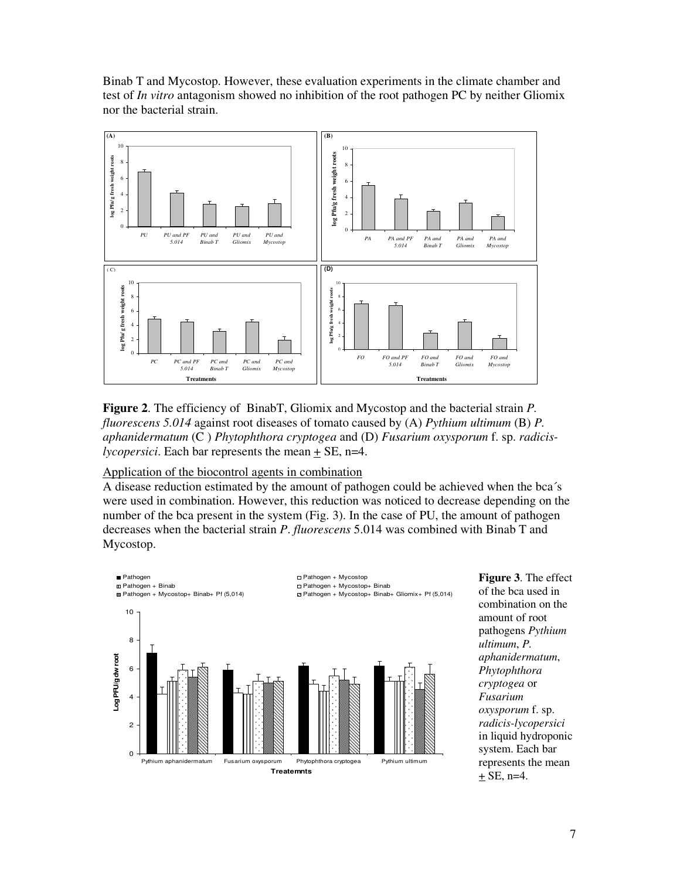Binab T and Mycostop. However, these evaluation experiments in the climate chamber and test of *In vitro* antagonism showed no inhibition of the root pathogen PC by neither Gliomix nor the bacterial strain.



**Figure 2**. The efficiency of BinabT, Gliomix and Mycostop and the bacterial strain *P. fluorescens 5.014* against root diseases of tomato caused by (A) *Pythium ultimum* (B) *P. aphanidermatum* (C ) *Phytophthora cryptogea* and (D) *Fusarium oxysporum* f. sp. *radicislycopersici*. Each bar represents the mean  $\pm$  SE, n=4.

## Application of the biocontrol agents in combination

A disease reduction estimated by the amount of pathogen could be achieved when the bca´s were used in combination. However, this reduction was noticed to decrease depending on the number of the bca present in the system (Fig. 3). In the case of PU, the amount of pathogen decreases when the bacterial strain *P*. *fluorescens* 5.014 was combined with Binab T and Mycostop.



**Figure 3**. The effect of the bca used in combination on the amount of root pathogens *Pythium ultimum*, *P. aphanidermatum*, *Phytophthora cryptogea* or *Fusarium oxysporum* f. sp. *radicis-lycopersici* in liquid hydroponic system. Each bar represents the mean  $\pm$  SE, n=4.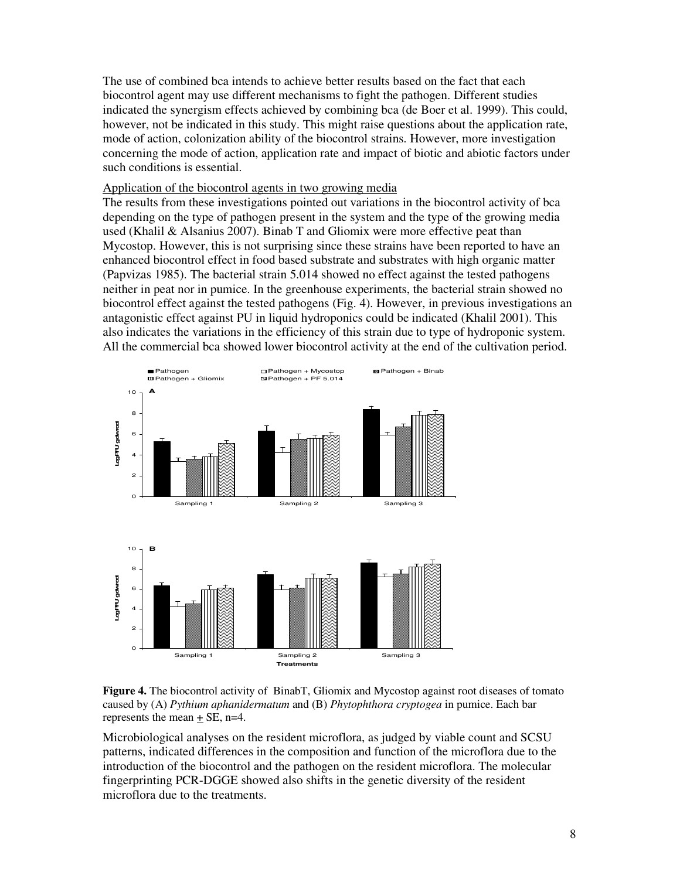The use of combined bca intends to achieve better results based on the fact that each biocontrol agent may use different mechanisms to fight the pathogen. Different studies indicated the synergism effects achieved by combining bca (de Boer et al. 1999). This could, however, not be indicated in this study. This might raise questions about the application rate, mode of action, colonization ability of the biocontrol strains. However, more investigation concerning the mode of action, application rate and impact of biotic and abiotic factors under such conditions is essential.

#### Application of the biocontrol agents in two growing media

The results from these investigations pointed out variations in the biocontrol activity of bca depending on the type of pathogen present in the system and the type of the growing media used (Khalil & Alsanius 2007). Binab T and Gliomix were more effective peat than Mycostop. However, this is not surprising since these strains have been reported to have an enhanced biocontrol effect in food based substrate and substrates with high organic matter (Papvizas 1985). The bacterial strain 5.014 showed no effect against the tested pathogens neither in peat nor in pumice. In the greenhouse experiments, the bacterial strain showed no biocontrol effect against the tested pathogens (Fig. 4). However, in previous investigations an antagonistic effect against PU in liquid hydroponics could be indicated (Khalil 2001). This also indicates the variations in the efficiency of this strain due to type of hydroponic system. All the commercial bca showed lower biocontrol activity at the end of the cultivation period.



**Figure 4.** The biocontrol activity of BinabT, Gliomix and Mycostop against root diseases of tomato caused by (A) *Pythium aphanidermatum* and (B) *Phytophthora cryptogea* in pumice. Each bar represents the mean + SE, n=4.

Microbiological analyses on the resident microflora, as judged by viable count and SCSU patterns, indicated differences in the composition and function of the microflora due to the introduction of the biocontrol and the pathogen on the resident microflora. The molecular fingerprinting PCR-DGGE showed also shifts in the genetic diversity of the resident microflora due to the treatments.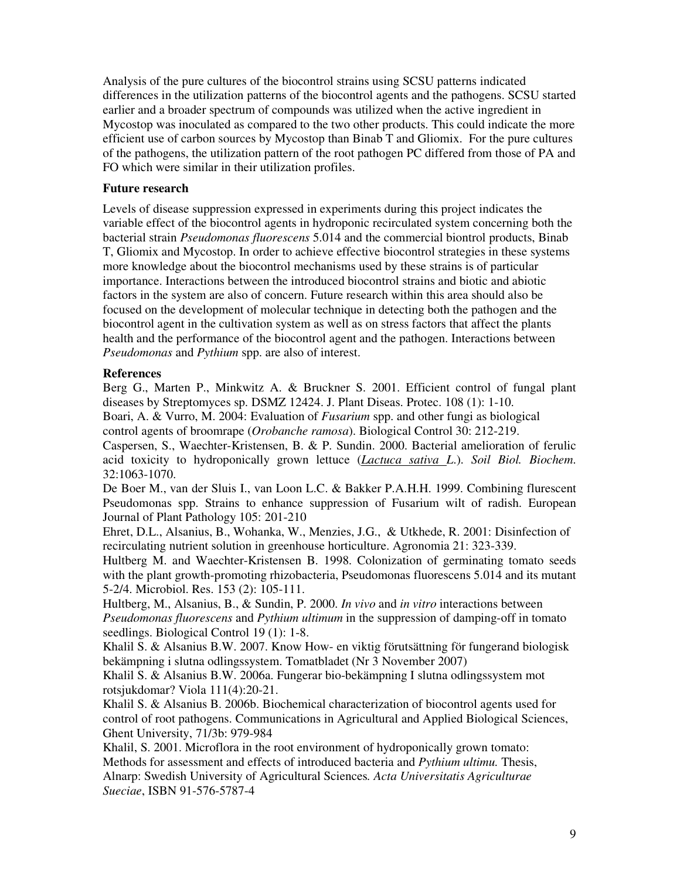Analysis of the pure cultures of the biocontrol strains using SCSU patterns indicated differences in the utilization patterns of the biocontrol agents and the pathogens. SCSU started earlier and a broader spectrum of compounds was utilized when the active ingredient in Mycostop was inoculated as compared to the two other products. This could indicate the more efficient use of carbon sources by Mycostop than Binab T and Gliomix. For the pure cultures of the pathogens, the utilization pattern of the root pathogen PC differed from those of PA and FO which were similar in their utilization profiles.

### **Future research**

Levels of disease suppression expressed in experiments during this project indicates the variable effect of the biocontrol agents in hydroponic recirculated system concerning both the bacterial strain *Pseudomonas fluorescens* 5.014 and the commercial biontrol products, Binab T, Gliomix and Mycostop. In order to achieve effective biocontrol strategies in these systems more knowledge about the biocontrol mechanisms used by these strains is of particular importance. Interactions between the introduced biocontrol strains and biotic and abiotic factors in the system are also of concern. Future research within this area should also be focused on the development of molecular technique in detecting both the pathogen and the biocontrol agent in the cultivation system as well as on stress factors that affect the plants health and the performance of the biocontrol agent and the pathogen. Interactions between *Pseudomonas* and *Pythium* spp. are also of interest.

## **References**

Berg G., Marten P., Minkwitz A. & Bruckner S. 2001. Efficient control of fungal plant diseases by Streptomyces sp. DSMZ 12424. J. Plant Diseas. Protec. 108 (1): 1-10. Boari, A. & Vurro, M. 2004: Evaluation of *Fusarium* spp. and other fungi as biological

control agents of broomrape (*Orobanche ramosa*). Biological Control 30: 212-219. Caspersen, S., Waechter-Kristensen, B. & P. Sundin. 2000. Bacterial amelioration of ferulic acid toxicity to hydroponically grown lettuce (*Lactuca sativa L*.). *Soil Biol. Biochem*. 32:1063-1070.

De Boer M., van der Sluis I., van Loon L.C. & Bakker P.A.H.H. 1999. Combining flurescent Pseudomonas spp. Strains to enhance suppression of Fusarium wilt of radish. European Journal of Plant Pathology 105: 201-210

Ehret, D.L., Alsanius, B., Wohanka, W., Menzies, J.G., & Utkhede, R. 2001: Disinfection of recirculating nutrient solution in greenhouse horticulture. Agronomia 21: 323-339.

Hultberg M. and Waechter-Kristensen B. 1998. Colonization of germinating tomato seeds with the plant growth-promoting rhizobacteria, Pseudomonas fluorescens 5.014 and its mutant 5-2/4. Microbiol. Res. 153 (2): 105-111.

Hultberg, M., Alsanius, B., & Sundin, P. 2000. *In vivo* and *in vitro* interactions between *Pseudomonas fluorescens* and *Pythium ultimum* in the suppression of damping-off in tomato seedlings. Biological Control 19 (1): 1-8.

Khalil S. & Alsanius B.W. 2007. Know How- en viktig förutsättning för fungerand biologisk bekämpning i slutna odlingssystem. Tomatbladet (Nr 3 November 2007)

Khalil S. & Alsanius B.W. 2006a. Fungerar bio-bekämpning I slutna odlingssystem mot rotsjukdomar? Viola 111(4):20-21.

Khalil S. & Alsanius B. 2006b. Biochemical characterization of biocontrol agents used for control of root pathogens. Communications in Agricultural and Applied Biological Sciences, Ghent University, 71/3b: 979-984

Khalil, S. 2001. Microflora in the root environment of hydroponically grown tomato: Methods for assessment and effects of introduced bacteria and *Pythium ultimu.* Thesis, Alnarp: Swedish University of Agricultural Sciences*. Acta Universitatis Agriculturae Sueciae*, ISBN 91-576-5787-4